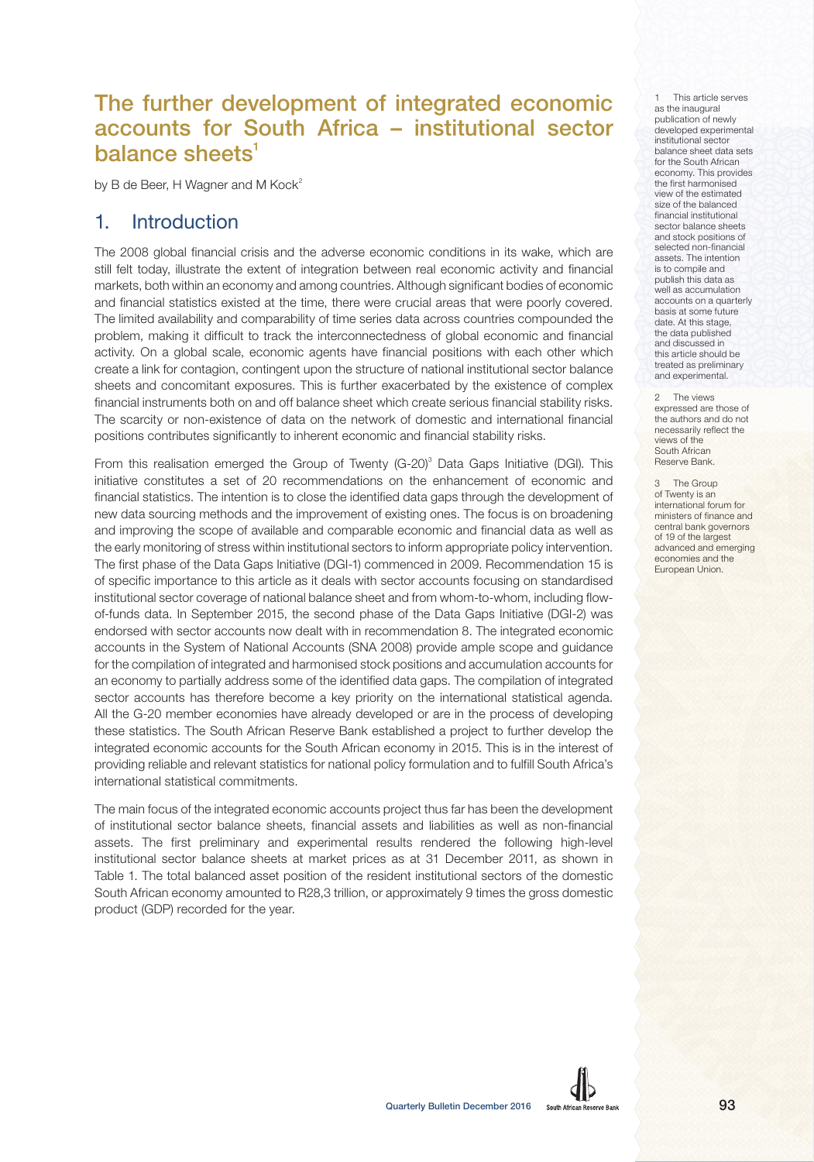# The further development of integrated economic accounts for South Africa – institutional sector balance sheets $1$

by B de Beer, H Wagner and M  $Kock<sup>2</sup>$ 

## 1. Introduction

The 2008 global financial crisis and the adverse economic conditions in its wake, which are still felt today, illustrate the extent of integration between real economic activity and financial markets, both within an economy and among countries. Although significant bodies of economic and financial statistics existed at the time, there were crucial areas that were poorly covered. The limited availability and comparability of time series data across countries compounded the problem, making it difficult to track the interconnectedness of global economic and financial activity. On a global scale, economic agents have financial positions with each other which create a link for contagion, contingent upon the structure of national institutional sector balance sheets and concomitant exposures. This is further exacerbated by the existence of complex financial instruments both on and off balance sheet which create serious financial stability risks. The scarcity or non-existence of data on the network of domestic and international financial positions contributes significantly to inherent economic and financial stability risks.

From this realisation emerged the Group of Twenty  $(G-20)^3$  Data Gaps Initiative (DGI). This initiative constitutes a set of 20 recommendations on the enhancement of economic and financial statistics. The intention is to close the identified data gaps through the development of new data sourcing methods and the improvement of existing ones. The focus is on broadening and improving the scope of available and comparable economic and financial data as well as the early monitoring of stress within institutional sectors to inform appropriate policy intervention. The first phase of the Data Gaps Initiative (DGI-1) commenced in 2009. Recommendation 15 is of specific importance to this article as it deals with sector accounts focusing on standardised institutional sector coverage of national balance sheet and from whom-to-whom, including flowof-funds data. In September 2015, the second phase of the Data Gaps Initiative (DGI-2) was endorsed with sector accounts now dealt with in recommendation 8. The integrated economic accounts in the System of National Accounts (SNA 2008) provide ample scope and guidance for the compilation of integrated and harmonised stock positions and accumulation accounts for an economy to partially address some of the identified data gaps. The compilation of integrated sector accounts has therefore become a key priority on the international statistical agenda. All the G-20 member economies have already developed or are in the process of developing these statistics. The South African Reserve Bank established a project to further develop the integrated economic accounts for the South African economy in 2015. This is in the interest of providing reliable and relevant statistics for national policy formulation and to fulfill South Africa's international statistical commitments.

The main focus of the integrated economic accounts project thus far has been the development of institutional sector balance sheets, financial assets and liabilities as well as non-financial assets. The first preliminary and experimental results rendered the following high-level institutional sector balance sheets at market prices as at 31 December 2011, as shown in Table 1. The total balanced asset position of the resident institutional sectors of the domestic South African economy amounted to R28,3 trillion, or approximately 9 times the gross domestic product (GDP) recorded for the year.

This article serves as the inaugural publication of newly developed experimental institutional sector balance sheet data sets for the South African economy. This provides the first harmonised view of the estimated size of the balanced financial institutional sector balance sheets and stock positions of selected non-financial assets. The intention is to compile and publish this data as well as accumulation accounts on a quarterly basis at some future date. At this stage, the data published and discussed in this article should be treated as preliminary and experimental.

2 The views expressed are those of the authors and do not necessarily reflect the views of the South African Reserve Bank.

The Group of Twenty is an international forum for ministers of finance and central bank governors of 19 of the largest advanced and emerging economies and the European Union.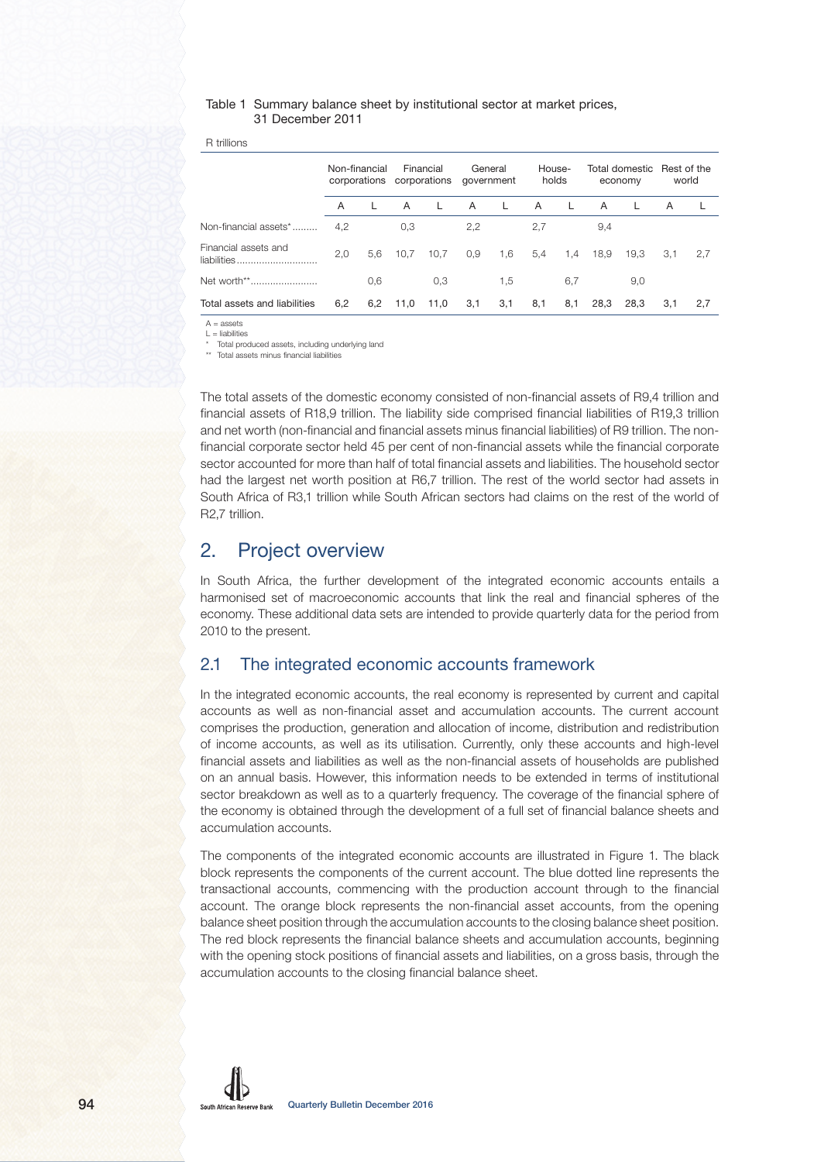### Table 1 Summary balance sheet by institutional sector at market prices, 31 December 2011

R trillions

|                                     | Non-financial |     | Financial<br>corporations corporations |              | General<br>government |       | House-<br>holds |     | Total domestic Rest of the<br>economy |      | world |     |
|-------------------------------------|---------------|-----|----------------------------------------|--------------|-----------------------|-------|-----------------|-----|---------------------------------------|------|-------|-----|
|                                     | A             |     | A                                      | $\mathbf{L}$ | A                     | - L - | A               |     | $\overline{A}$                        |      | A     |     |
| Non-financial assets*               | 4.2           |     | 0,3                                    |              | 2,2                   |       | 2.7             |     | 9.4                                   |      |       |     |
| Financial assets and<br>liabilities | 2,0           | 5,6 | 10,7                                   | 10.7         | 0,9                   | 1,6   | 5,4             | 1,4 | 18.9                                  | 19.3 | 3.1   | 2.7 |
| Net worth**                         |               | 0,6 |                                        | 0.3          |                       | 1,5   |                 | 6.7 |                                       | 9.0  |       |     |
| Total assets and liabilities        | 6,2           |     | $6,2$ 11,0                             | 11,0         | 3,1                   | 3,1   | 8,1             | 8,1 | 28,3                                  | 28,3 | 3,1   | 2,7 |

 $A =$ assets  $L =$  liabilities

Total produced assets, including underlying land

\*\* Total assets minus financial liabilities

The total assets of the domestic economy consisted of non-financial assets of R9,4 trillion and financial assets of R18,9 trillion. The liability side comprised financial liabilities of R19,3 trillion and net worth (non-financial and financial assets minus financial liabilities) of R9 trillion. The nonfinancial corporate sector held 45 per cent of non-financial assets while the financial corporate sector accounted for more than half of total financial assets and liabilities. The household sector had the largest net worth position at R6,7 trillion. The rest of the world sector had assets in South Africa of R3,1 trillion while South African sectors had claims on the rest of the world of R2,7 trillion.

## 2. Project overview

In South Africa, the further development of the integrated economic accounts entails a harmonised set of macroeconomic accounts that link the real and financial spheres of the economy. These additional data sets are intended to provide quarterly data for the period from 2010 to the present.

## 2.1 The integrated economic accounts framework

In the integrated economic accounts, the real economy is represented by current and capital accounts as well as non-financial asset and accumulation accounts. The current account comprises the production, generation and allocation of income, distribution and redistribution of income accounts, as well as its utilisation. Currently, only these accounts and high-level financial assets and liabilities as well as the non-financial assets of households are published on an annual basis. However, this information needs to be extended in terms of institutional sector breakdown as well as to a quarterly frequency. The coverage of the financial sphere of the economy is obtained through the development of a full set of financial balance sheets and accumulation accounts.

The components of the integrated economic accounts are illustrated in Figure 1. The black block represents the components of the current account. The blue dotted line represents the transactional accounts, commencing with the production account through to the financial account. The orange block represents the non-financial asset accounts, from the opening balance sheet position through the accumulation accounts to the closing balance sheet position. The red block represents the financial balance sheets and accumulation accounts, beginning with the opening stock positions of financial assets and liabilities, on a gross basis, through the accumulation accounts to the closing financial balance sheet.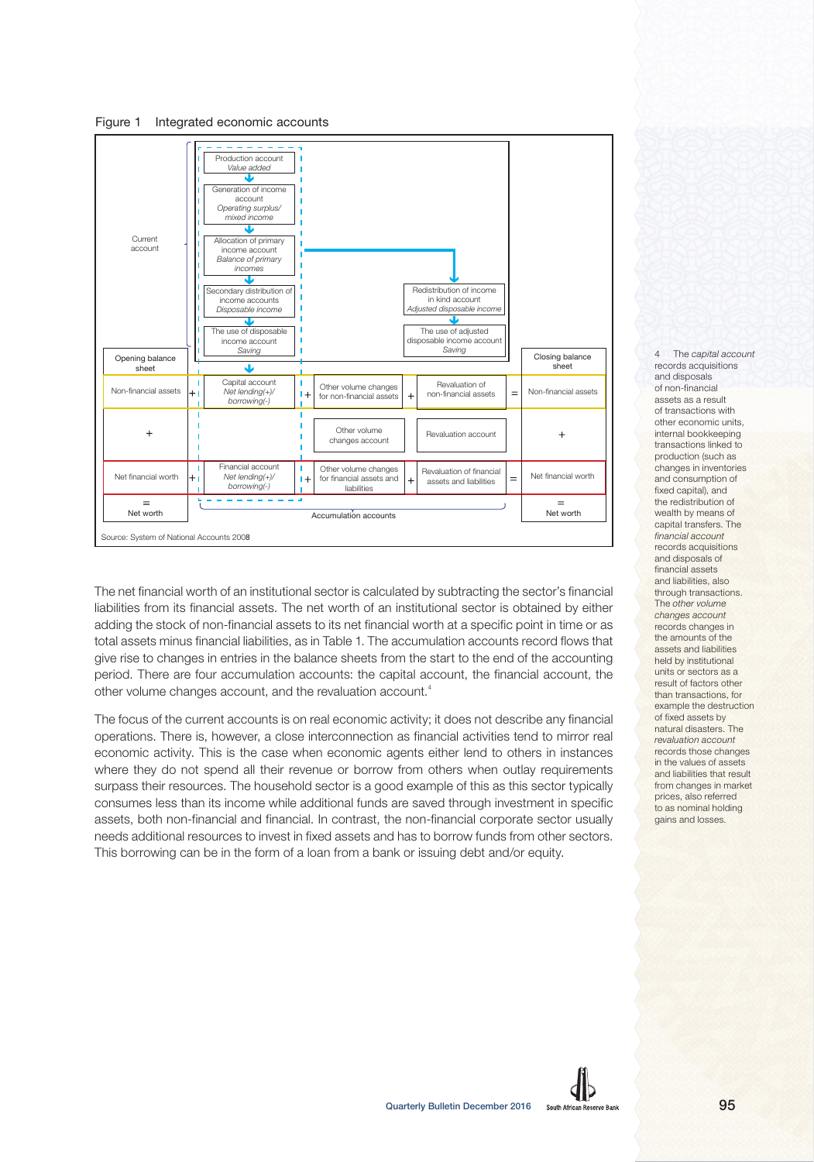Figure 1 Integrated economic accounts



The net financial worth of an institutional sector is calculated by subtracting the sector's financial liabilities from its financial assets. The net worth of an institutional sector is obtained by either adding the stock of non-financial assets to its net financial worth at a specific point in time or as total assets minus financial liabilities, as in Table 1. The accumulation accounts record flows that give rise to changes in entries in the balance sheets from the start to the end of the accounting period. There are four accumulation accounts: the capital account, the financial account, the other volume changes account, and the revaluation account.<sup>4</sup>

The focus of the current accounts is on real economic activity; it does not describe any financial operations. There is, however, a close interconnection as financial activities tend to mirror real economic activity. This is the case when economic agents either lend to others in instances where they do not spend all their revenue or borrow from others when outlay requirements surpass their resources. The household sector is a good example of this as this sector typically consumes less than its income while additional funds are saved through investment in specific assets, both non-financial and financial. In contrast, the non-financial corporate sector usually needs additional resources to invest in fixed assets and has to borrow funds from other sectors. This borrowing can be in the form of a loan from a bank or issuing debt and/or equity.

4 The capital account records acquisitions and disposals of non-financial assets as a result of transactions with other economic units, internal bookkeeping transactions linked to production (such as changes in inventories and consumption of fixed capital), and the redistribution of wealth by means of capital transfers. The financial account records acquisitions and disposals of financial assets and liabilities, also through transactions. The other volume changes account records changes in the amounts of the assets and liabilities held by institutional units or sectors as a result of factors other than transactions, for example the destruction of fixed assets by natural disasters. The revaluation account records those changes in the values of assets and liabilities that result from changes in market prices, also referred to as nominal holding gains and losses.

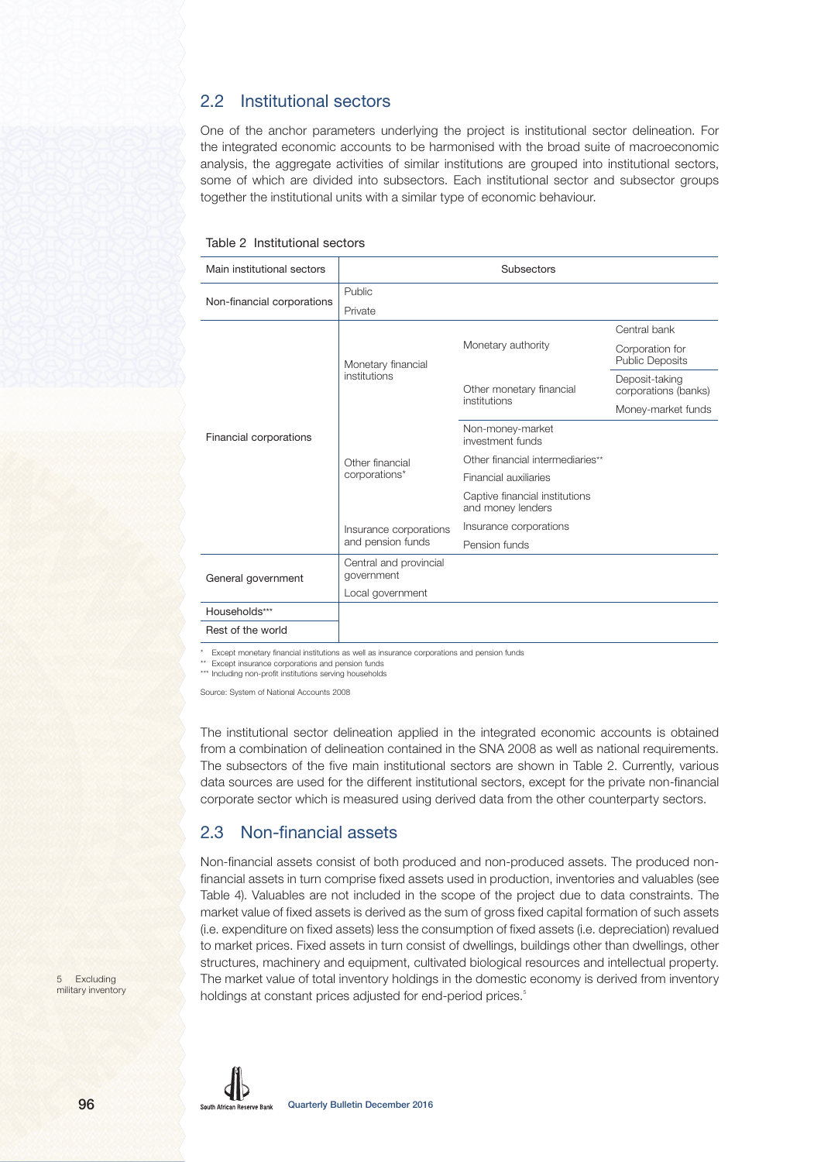## 2.2 Institutional sectors

One of the anchor parameters underlying the project is institutional sector delineation. For the integrated economic accounts to be harmonised with the broad suite of macroeconomic analysis, the aggregate activities of similar institutions are grouped into institutional sectors, some of which are divided into subsectors. Each institutional sector and subsector groups together the institutional units with a similar type of economic behaviour.

### Table 2 Institutional sectors

| Main institutional sectors |                                      | Subsectors                                          |                                           |
|----------------------------|--------------------------------------|-----------------------------------------------------|-------------------------------------------|
|                            | Public                               |                                                     |                                           |
| Non-financial corporations | Private                              |                                                     |                                           |
|                            |                                      |                                                     | Central bank                              |
|                            | Monetary financial                   | Monetary authority                                  | Corporation for<br><b>Public Deposits</b> |
| Financial corporations     | institutions                         | Other monetary financial                            | Deposit-taking<br>corporations (banks)    |
|                            |                                      | institutions                                        | Money-market funds                        |
|                            |                                      | Non-money-market<br>investment funds                |                                           |
|                            | Other financial<br>corporations*     | Other financial intermediaries**                    |                                           |
|                            |                                      | Financial auxiliaries                               |                                           |
|                            |                                      | Captive financial institutions<br>and money lenders |                                           |
|                            | Insurance corporations               | Insurance corporations                              |                                           |
|                            | and pension funds                    | Pension funds                                       |                                           |
| General government         | Central and provincial<br>government |                                                     |                                           |
|                            | Local government                     |                                                     |                                           |
| Households***              |                                      |                                                     |                                           |
| Rest of the world          |                                      |                                                     |                                           |

Except monetary financial institutions as well as insurance corporations and pension funds

Except insurance corporations and pension funds \*\*\* Including non-profit institutions serving households

Source: System of National Accounts 2008

The institutional sector delineation applied in the integrated economic accounts is obtained from a combination of delineation contained in the SNA 2008 as well as national requirements. The subsectors of the five main institutional sectors are shown in Table 2. Currently, various data sources are used for the different institutional sectors, except for the private non-financial corporate sector which is measured using derived data from the other counterparty sectors.

## 2.3 Non-financial assets

Non-financial assets consist of both produced and non-produced assets. The produced nonfinancial assets in turn comprise fixed assets used in production, inventories and valuables (see Table 4). Valuables are not included in the scope of the project due to data constraints. The market value of fixed assets is derived as the sum of gross fixed capital formation of such assets (i.e. expenditure on fixed assets) less the consumption of fixed assets (i.e. depreciation) revalued to market prices. Fixed assets in turn consist of dwellings, buildings other than dwellings, other structures, machinery and equipment, cultivated biological resources and intellectual property. The market value of total inventory holdings in the domestic economy is derived from inventory holdings at constant prices adjusted for end-period prices.<sup>5</sup>

5 Excluding military inventory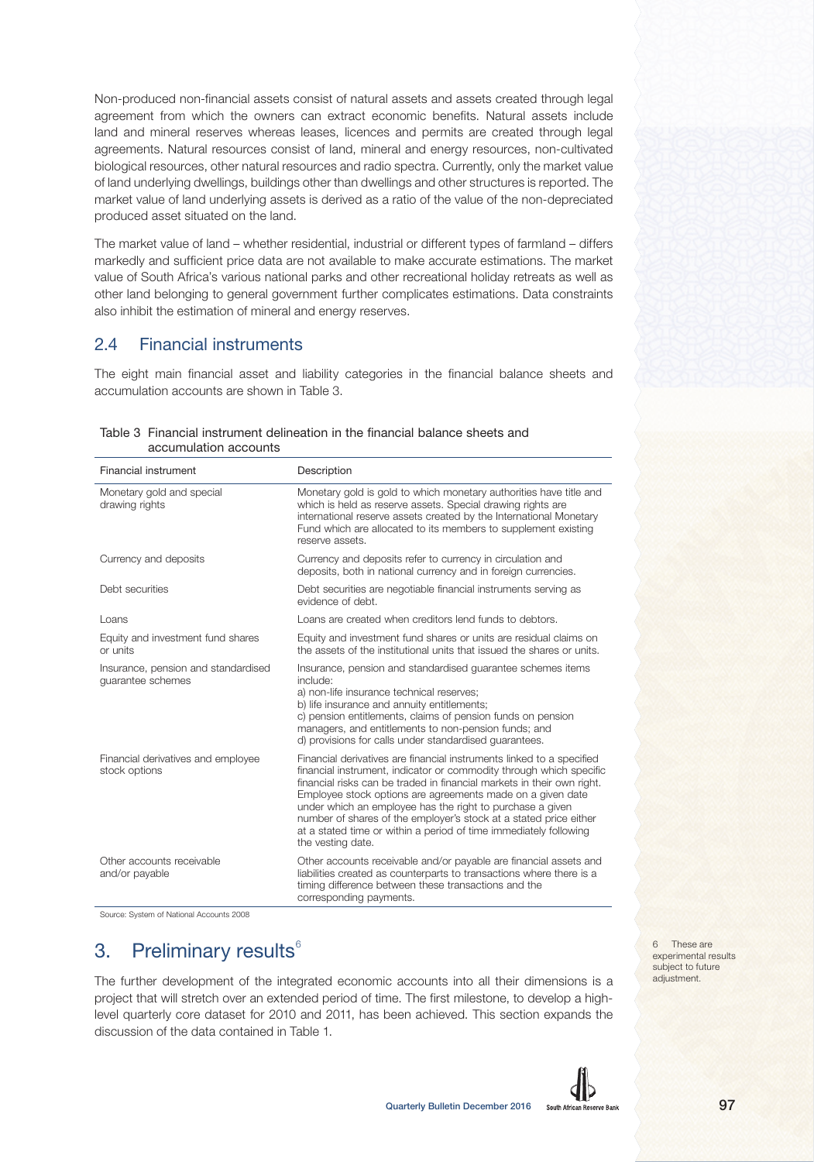Non-produced non-financial assets consist of natural assets and assets created through legal agreement from which the owners can extract economic benefits. Natural assets include land and mineral reserves whereas leases, licences and permits are created through legal agreements. Natural resources consist of land, mineral and energy resources, non-cultivated biological resources, other natural resources and radio spectra. Currently, only the market value of land underlying dwellings, buildings other than dwellings and other structures is reported. The market value of land underlying assets is derived as a ratio of the value of the non-depreciated produced asset situated on the land.

The market value of land – whether residential, industrial or different types of farmland – differs markedly and sufficient price data are not available to make accurate estimations. The market value of South Africa's various national parks and other recreational holiday retreats as well as other land belonging to general government further complicates estimations. Data constraints also inhibit the estimation of mineral and energy reserves.

## 2.4 Financial instruments

The eight main financial asset and liability categories in the financial balance sheets and accumulation accounts are shown in Table 3.

| Financial instrument                                     | Description                                                                                                                                                                                                                                                                                                                                                                                                                                                                                                      |
|----------------------------------------------------------|------------------------------------------------------------------------------------------------------------------------------------------------------------------------------------------------------------------------------------------------------------------------------------------------------------------------------------------------------------------------------------------------------------------------------------------------------------------------------------------------------------------|
| Monetary gold and special<br>drawing rights              | Monetary gold is gold to which monetary authorities have title and<br>which is held as reserve assets. Special drawing rights are<br>international reserve assets created by the International Monetary<br>Fund which are allocated to its members to supplement existing<br>reserve assets.                                                                                                                                                                                                                     |
| Currency and deposits                                    | Currency and deposits refer to currency in circulation and<br>deposits, both in national currency and in foreign currencies.                                                                                                                                                                                                                                                                                                                                                                                     |
| Debt securities                                          | Debt securities are negotiable financial instruments serving as<br>evidence of debt.                                                                                                                                                                                                                                                                                                                                                                                                                             |
| Loans                                                    | Loans are created when creditors lend funds to debtors.                                                                                                                                                                                                                                                                                                                                                                                                                                                          |
| Equity and investment fund shares<br>or units            | Equity and investment fund shares or units are residual claims on<br>the assets of the institutional units that issued the shares or units.                                                                                                                                                                                                                                                                                                                                                                      |
| Insurance, pension and standardised<br>guarantee schemes | Insurance, pension and standardised guarantee schemes items<br>include:<br>a) non-life insurance technical reserves;<br>b) life insurance and annuity entitlements;<br>c) pension entitlements, claims of pension funds on pension<br>managers, and entitlements to non-pension funds; and<br>d) provisions for calls under standardised quarantees.                                                                                                                                                             |
| Financial derivatives and employee<br>stock options      | Financial derivatives are financial instruments linked to a specified<br>financial instrument, indicator or commodity through which specific<br>financial risks can be traded in financial markets in their own right.<br>Employee stock options are agreements made on a given date<br>under which an employee has the right to purchase a given<br>number of shares of the employer's stock at a stated price either<br>at a stated time or within a period of time immediately following<br>the vesting date. |
| Other accounts receivable<br>and/or payable              | Other accounts receivable and/or payable are financial assets and<br>liabilities created as counterparts to transactions where there is a<br>timing difference between these transactions and the<br>corresponding payments.                                                                                                                                                                                                                                                                                     |

Table 3 Financial instrument delineation in the financial balance sheets and accumulation accounts

Source: System of National Accounts 2008

## 3. Preliminary results $<sup>6</sup>$ </sup>

The further development of the integrated economic accounts into all their dimensions is a project that will stretch over an extended period of time. The first milestone, to develop a highlevel quarterly core dataset for 2010 and 2011, has been achieved. This section expands the discussion of the data contained in Table 1.

6 These are experimental results subject to future adjustment.

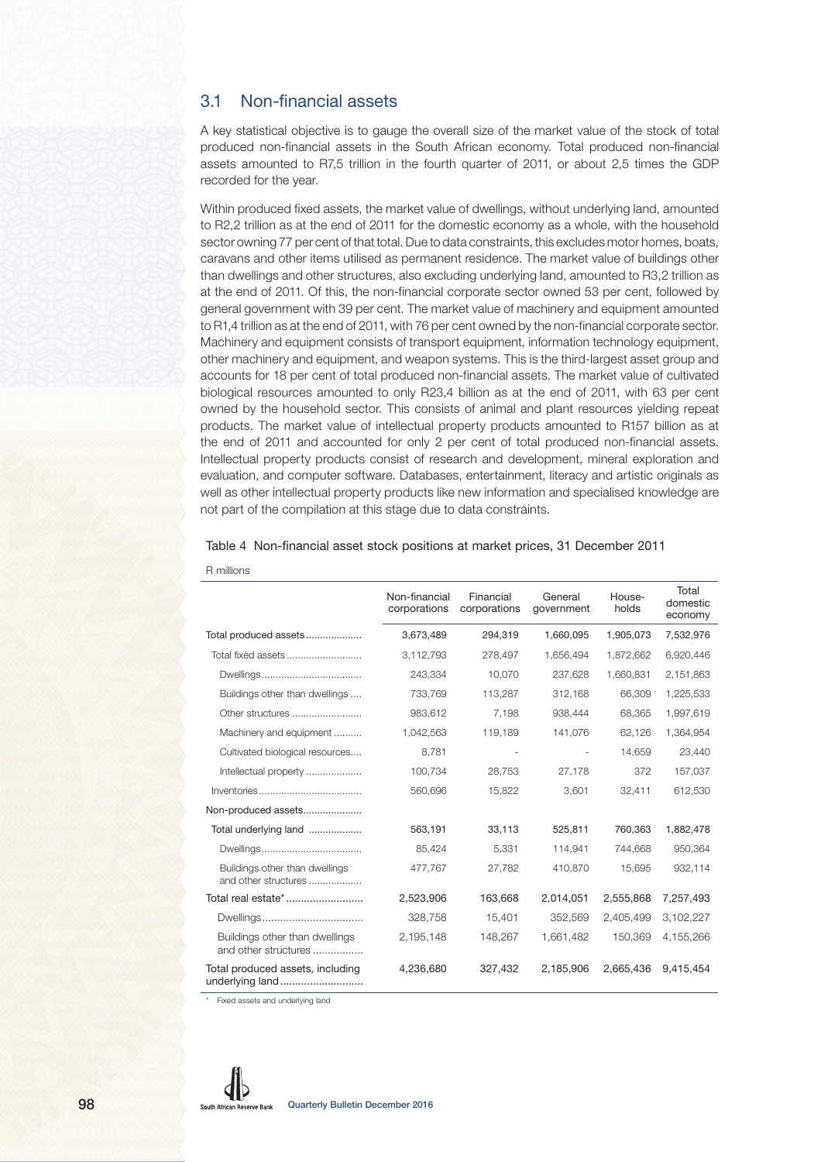## 3.1 Non-financial assets

A key statistical objective is to gauge the overall size of the market value of the stock of total produced non-financial assets in the South African economy. Total produced non-financial assets amounted to R7,5 trillion in the fourth quarter of 2011, or about 2,5 times the GDP recorded for the year.

Within produced fixed assets, the market value of dwellings, without underlying land, amounted to R2,2 trillion as at the end of 2011 for the domestic economy as a whole, with the household sector owning 77 per cent of that total. Due to data constraints, this excludes motor homes, boats, caravans and other items utilised as permanent residence. The market value of buildings other than dwellings and other structures, also excluding underlying land, amounted to R3,2 trillion as at the end of 2011. Of this, the non-financial corporate sector owned 53 per cent, followed by general government with 39 per cent. The market value of machinery and equipment amounted to R1,4 trillion as at the end of 2011, with 76 per cent owned by the non-financial corporate sector. Machinery and equipment consists of transport equipment, information technology equipment, other machinery and equipment, and weapon systems. This is the third-largest asset group and accounts for 18 per cent of total produced non-financial assets. The market value of cultivated biological resources amounted to only R23,4 billion as at the end of 2011, with 63 per cent owned by the household sector. This consists of animal and plant resources yielding repeat products. The market value of intellectual property products amounted to R157 billion as at the end of 2011 and accounted for only 2 per cent of total produced non-financial assets. Intellectual property products consist of research and development, mineral exploration and evaluation, and computer software. Databases, entertainment, literacy and artistic originals as well as other intellectual property products like new information and specialised knowledge are not part of the compilation at this stage due to data constraints.

| Table 4 Non-financial asset stock positions at market prices, 31 December 2011 |  |  |  |
|--------------------------------------------------------------------------------|--|--|--|
|                                                                                |  |  |  |

|                                                        | Non-financial<br>corporations | Financial<br>corporations | General<br>government | House-<br>holds | Total<br>domestic<br>economy |
|--------------------------------------------------------|-------------------------------|---------------------------|-----------------------|-----------------|------------------------------|
| Total produced assets                                  | 3,673,489                     | 294,319                   | 1,660,095             | 1,905,073       | 7,532,976                    |
| Total fixed assets                                     | 3,112,793                     | 278,497                   | 1,656,494             | 1,872,662       | 6,920,446                    |
|                                                        | 243,334                       | 10,070                    | 237,628               | 1,660,831       | 2,151,863                    |
| Buildings other than dwellings                         | 733,769                       | 113,287                   | 312,168               | 66,309          | 1,225,533                    |
| Other structures                                       | 983,612                       | 7,198                     | 938,444               | 68,365          | 1,997,619                    |
| Machinery and equipment                                | 1,042,563                     | 119,189                   | 141,076               | 62,126          | 1,364,954                    |
| Cultivated biological resources                        | 8,781                         |                           |                       | 14,659          | 23,440                       |
| Intellectual property                                  | 100,734                       | 28,753                    | 27,178                | 372             | 157,037                      |
|                                                        | 560,696                       | 15,822                    | 3,601                 | 32,411          | 612,530                      |
| Non-produced assets                                    |                               |                           |                       |                 |                              |
| Total underlying land                                  | 563,191                       | 33,113                    | 525,811               | 760,363         | 1,882,478                    |
|                                                        | 85,424                        | 5,331                     | 114,941               | 744,668         | 950,364                      |
| Buildings other than dwellings<br>and other structures | 477,767                       | 27,782                    | 410,870               | 15,695          | 932,114                      |
| Total real estate*                                     | 2,523,906                     | 163,668                   | 2,014,051             | 2,555,868       | 7,257,493                    |
| Dwellings                                              | 328,758                       | 15,401                    | 352,569               | 2,405,499       | 3,102,227                    |
| Buildings other than dwellings<br>and other structures | 2,195,148                     | 148,267                   | 1,661,482             | 150,369         | 4,155,266                    |
| Total produced assets, including<br>underlying land    | 4,236,680                     | 327,432                   | 2,185,906             | 2,665,436       | 9,415,454                    |

R millions

Fixed assets and underlying land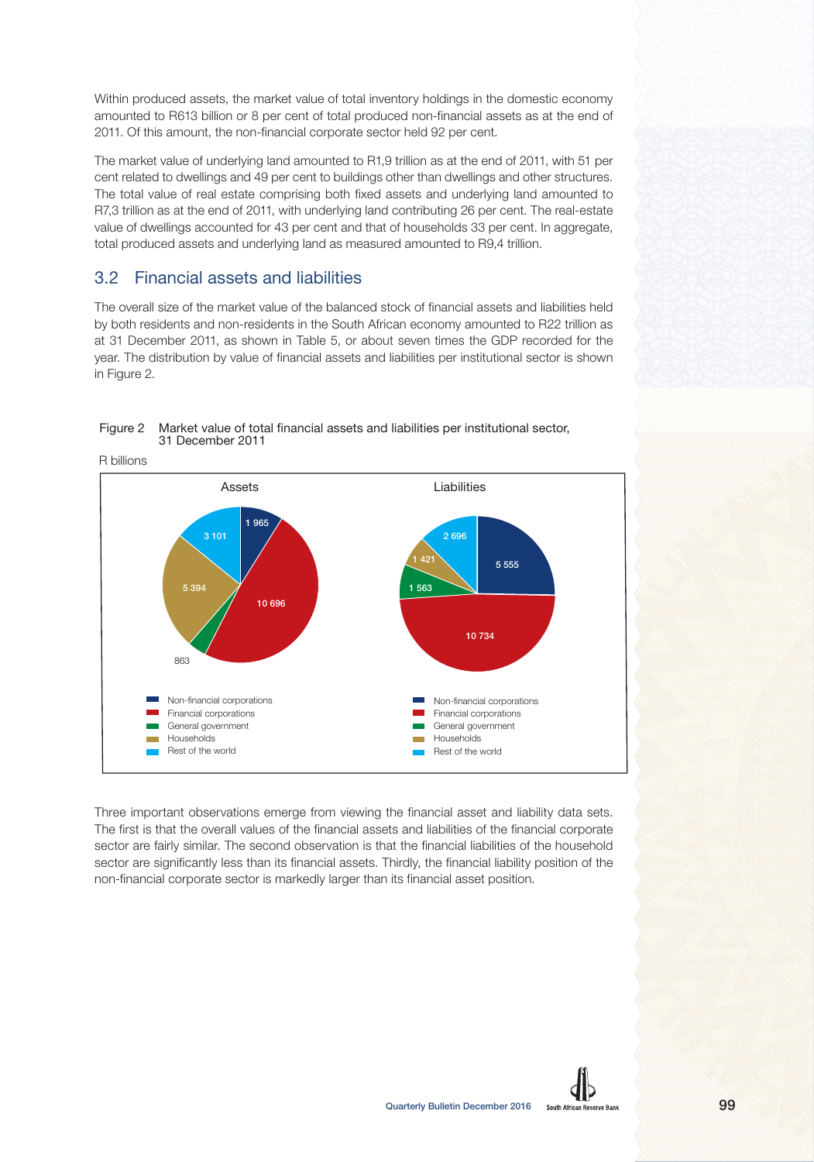Within produced assets, the market value of total inventory holdings in the domestic economy amounted to R613 billion or 8 per cent of total produced non-financial assets as at the end of 2011. Of this amount, the non-financial corporate sector held 92 per cent.

The market value of underlying land amounted to R1,9 trillion as at the end of 2011, with 51 per cent related to dwellings and 49 per cent to buildings other than dwellings and other structures. The total value of real estate comprising both fixed assets and underlying land amounted to R7,3 trillion as at the end of 2011, with underlying land contributing 26 per cent. The real-estate value of dwellings accounted for 43 per cent and that of households 33 per cent. In aggregate, total produced assets and underlying land as measured amounted to R9,4 trillion.

## 3.2 Financial assets and liabilities

The overall size of the market value of the balanced stock of financial assets and liabilities held by both residents and non-residents in the South African economy amounted to R22 trillion as at 31 December 2011, as shown in Table 5, or about seven times the GDP recorded for the year. The distribution by value of financial assets and liabilities per institutional sector is shown in Figure 2.



### Figure 2 Market value of total financial assets and liabilities per institutional sector, 31 December 2011

Three important observations emerge from viewing the financial asset and liability data sets. The first is that the overall values of the financial assets and liabilities of the financial corporate sector are fairly similar. The second observation is that the financial liabilities of the household sector are significantly less than its financial assets. Thirdly, the financial liability position of the non-financial corporate sector is markedly larger than its financial asset position.

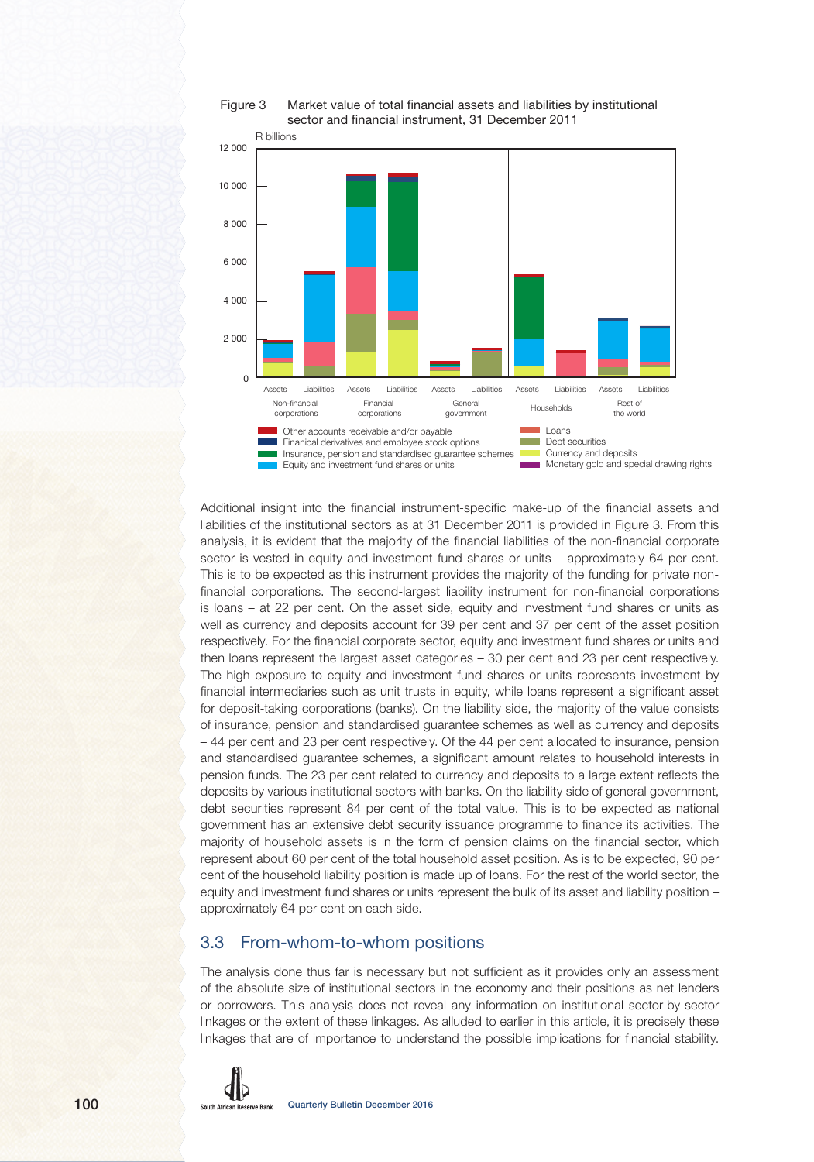

### Figure 3 Market value of total financial assets and liabilities by institutional sector and financial instrument, 31 December 2011

Additional insight into the financial instrument-specific make-up of the financial assets and liabilities of the institutional sectors as at 31 December 2011 is provided in Figure 3. From this analysis, it is evident that the majority of the financial liabilities of the non-financial corporate sector is vested in equity and investment fund shares or units – approximately 64 per cent. This is to be expected as this instrument provides the majority of the funding for private nonfinancial corporations. The second-largest liability instrument for non-financial corporations is loans – at 22 per cent. On the asset side, equity and investment fund shares or units as well as currency and deposits account for 39 per cent and 37 per cent of the asset position respectively. For the financial corporate sector, equity and investment fund shares or units and then loans represent the largest asset categories – 30 per cent and 23 per cent respectively. The high exposure to equity and investment fund shares or units represents investment by financial intermediaries such as unit trusts in equity, while loans represent a significant asset for deposit-taking corporations (banks). On the liability side, the majority of the value consists of insurance, pension and standardised guarantee schemes as well as currency and deposits – 44 per cent and 23 per cent respectively. Of the 44 per cent allocated to insurance, pension and standardised guarantee schemes, a significant amount relates to household interests in pension funds. The 23 per cent related to currency and deposits to a large extent reflects the deposits by various institutional sectors with banks. On the liability side of general government, debt securities represent 84 per cent of the total value. This is to be expected as national government has an extensive debt security issuance programme to finance its activities. The majority of household assets is in the form of pension claims on the financial sector, which represent about 60 per cent of the total household asset position. As is to be expected, 90 per cent of the household liability position is made up of loans. For the rest of the world sector, the equity and investment fund shares or units represent the bulk of its asset and liability position – approximately 64 per cent on each side.

## 3.3 From-whom-to-whom positions

The analysis done thus far is necessary but not sufficient as it provides only an assessment of the absolute size of institutional sectors in the economy and their positions as net lenders or borrowers. This analysis does not reveal any information on institutional sector-by-sector linkages or the extent of these linkages. As alluded to earlier in this article, it is precisely these linkages that are of importance to understand the possible implications for financial stability.

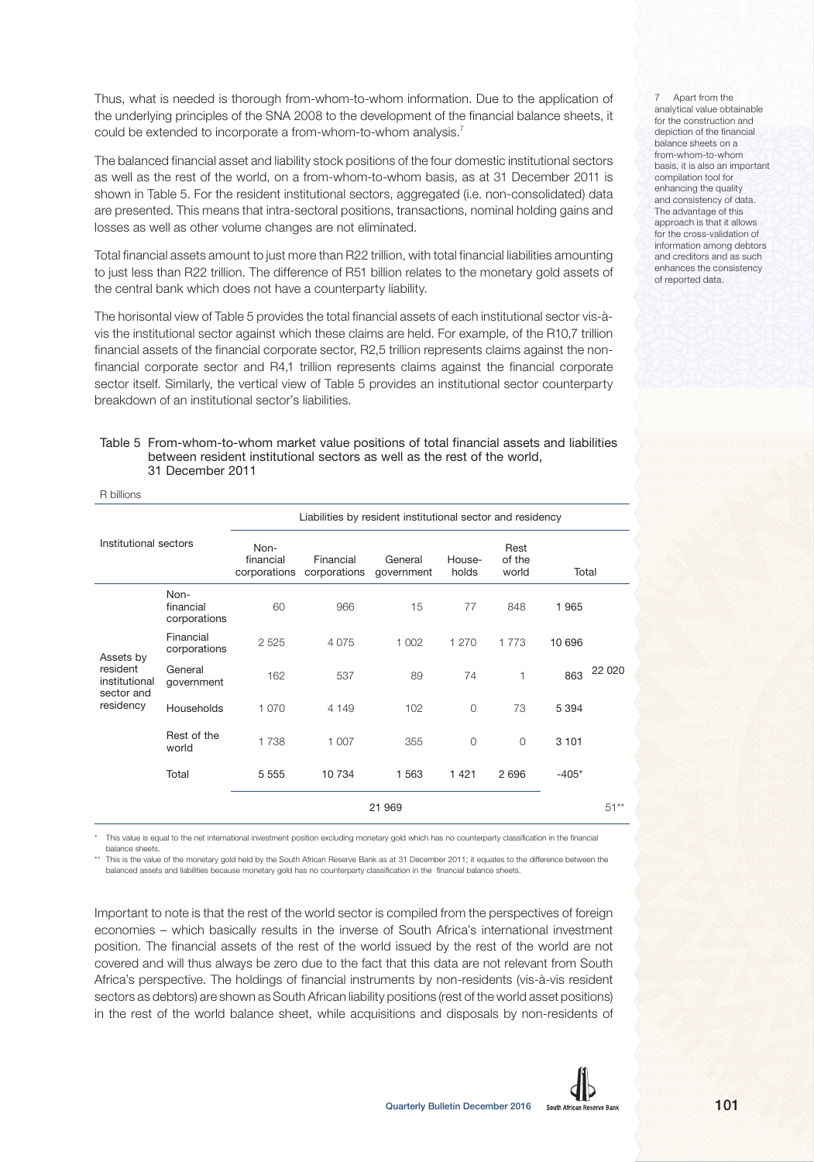Thus, what is needed is thorough from-whom-to-whom information. Due to the application of the underlying principles of the SNA 2008 to the development of the financial balance sheets, it could be extended to incorporate a from-whom-to-whom analysis.<sup>7</sup>

The balanced financial asset and liability stock positions of the four domestic institutional sectors as well as the rest of the world, on a from-whom-to-whom basis, as at 31 December 2011 is shown in Table 5. For the resident institutional sectors, aggregated (i.e. non-consolidated) data are presented. This means that intra-sectoral positions, transactions, nominal holding gains and losses as well as other volume changes are not eliminated.

Total financial assets amount to just more than R22 trillion, with total financial liabilities amounting to just less than R22 trillion. The difference of R51 billion relates to the monetary gold assets of the central bank which does not have a counterparty liability.

The horisontal view of Table 5 provides the total financial assets of each institutional sector vis-àvis the institutional sector against which these claims are held. For example, of the R10,7 trillion financial assets of the financial corporate sector, R2,5 trillion represents claims against the nonfinancial corporate sector and R4,1 trillion represents claims against the financial corporate sector itself. Similarly, the vertical view of Table 5 provides an institutional sector counterparty breakdown of an institutional sector's liabilities.

#### Table 5 From-whom-to-whom market value positions of total financial assets and liabilities between resident institutional sectors as well as the rest of the world, 31 December 2011

R billions

| Institutional sectors                                             |                                   | Liabilities by resident institutional sector and residency |                                        |                       |                 |                         |         |         |  |
|-------------------------------------------------------------------|-----------------------------------|------------------------------------------------------------|----------------------------------------|-----------------------|-----------------|-------------------------|---------|---------|--|
|                                                                   |                                   | Non-<br>financial                                          | Financial<br>corporations corporations | General<br>government | House-<br>holds | Rest<br>of the<br>world | Total   |         |  |
|                                                                   | Non-<br>financial<br>corporations | 60                                                         | 966                                    | 15                    | 77              | 848                     | 1965    |         |  |
| Assets by<br>resident<br>institutional<br>sector and<br>residency | Financial<br>corporations         | 2 5 2 5                                                    | 4 0 7 5                                | 1 0 0 2               | 1 2 7 0         | 1 7 7 3                 | 10 696  | 22 0 20 |  |
|                                                                   | General<br>government             | 162                                                        | 537                                    | 89                    | 74              | 1                       | 863     |         |  |
|                                                                   | Households                        | 1 0 7 0                                                    | 4 1 4 9                                | 102                   | $\Omega$        | 73                      | 5 3 9 4 |         |  |
|                                                                   | Rest of the<br>world              | 1738                                                       | 1 0 0 7                                | 355                   | $\overline{0}$  | $\overline{0}$          | 3 1 0 1 |         |  |
|                                                                   | Total                             | 5 5 5 5                                                    | 10 734                                 | 1563                  | 1 4 2 1         | 2696                    | $-405*$ |         |  |
|                                                                   |                                   | 21 969                                                     |                                        |                       |                 |                         |         | $51**$  |  |

\* This value is equal to the net international investment position excluding monetary gold which has no counterparty classification in the financial balance sheets.

\*\* This is the value of the monetary gold held by the South African Reserve Bank as at 31 December 2011; it equates to the difference between the balanced assets and liabilities because monetary gold has no counterparty classification in the financial balance sheets.

Important to note is that the rest of the world sector is compiled from the perspectives of foreign economies – which basically results in the inverse of South Africa's international investment position. The financial assets of the rest of the world issued by the rest of the world are not covered and will thus always be zero due to the fact that this data are not relevant from South Africa's perspective. The holdings of financial instruments by non-residents (vis-à-vis resident sectors as debtors) are shown as South African liability positions (rest of the world asset positions) in the rest of the world balance sheet, while acquisitions and disposals by non-residents of analytical value obtainable for the construction and depiction of the financial balance sheets on a from-whom-to-whom basis, it is also an important compilation tool for enhancing the quality and consistency of data. The advantage of this approach is that it allows for the cross-validation of information among debtors and creditors and as such enhances the consistency of reported data.

7 Apart from the